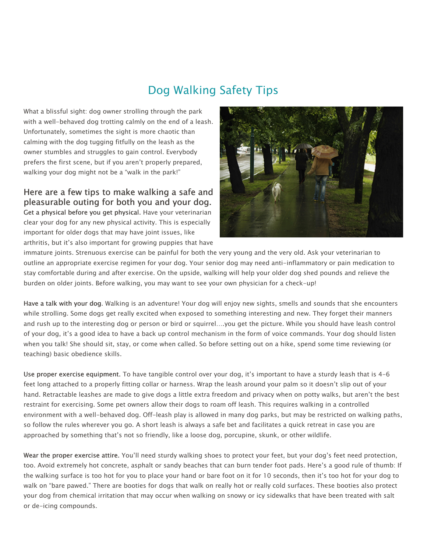## Dog Walking Safety Tips

What a blissful sight: dog owner strolling through the park with a well-behaved dog trotting calmly on the end of a leash. Unfortunately, sometimes the sight is more chaotic than calming with the dog tugging fitfully on the leash as the owner stumbles and struggles to gain control. Everybody prefers the first scene, but if you aren't properly prepared, walking your dog might not be a "walk in the park!"

Here are a few tips to make walking a safe and pleasurable outing for both you and your dog. Get a physical before you get physical. Have your veterinarian clear your dog for any new physical activity. This is especially important for older dogs that may have joint issues, like arthritis, but it's also important for growing puppies that have



immature joints. Strenuous exercise can be painful for both the very young and the very old. Ask your veterinarian to outline an appropriate exercise regimen for your dog. Your senior dog may need anti-inflammatory or pain medication to stay comfortable during and after exercise. On the upside, walking will help your older dog shed pounds and relieve the burden on older joints. Before walking, you may want to see your own physician for a check-up!

Have a talk with your dog. Walking is an adventure! Your dog will enjoy new sights, smells and sounds that she encounters while strolling. Some dogs get really excited when exposed to something interesting and new. They forget their manners and rush up to the interesting dog or person or bird or squirrel….you get the picture. While you should have leash control of your dog, it's a good idea to have a back up control mechanism in the form of voice commands. Your dog should listen when you talk! She should sit, stay, or come when called. So before setting out on a hike, spend some time reviewing (or teaching) basic obedience skills.

Use proper exercise equipment. To have tangible control over your dog, it's important to have a sturdy leash that is 4-6 feet long attached to a properly fitting collar or harness. Wrap the leash around your palm so it doesn't slip out of your hand. Retractable leashes are made to give dogs a little extra freedom and privacy when on potty walks, but aren't the best restraint for exercising. Some pet owners allow their dogs to roam off leash. This requires walking in a controlled environment with a well-behaved dog. Off-leash play is allowed in many dog parks, but may be restricted on walking paths, so follow the rules wherever you go. A short leash is always a safe bet and facilitates a quick retreat in case you are approached by something that's not so friendly, like a loose dog, porcupine, skunk, or other wildlife.

Wear the proper exercise attire. You'll need sturdy walking shoes to protect your feet, but your dog's feet need protection, too. Avoid extremely hot concrete, asphalt or sandy beaches that can burn tender foot pads. Here's a good rule of thumb: If the walking surface is too hot for you to place your hand or bare foot on it for 10 seconds, then it's too hot for your dog to walk on "bare pawed." There are booties for dogs that walk on really hot or really cold surfaces. These booties also protect your dog from chemical irritation that may occur when walking on snowy or icy sidewalks that have been treated with salt or de-icing compounds.